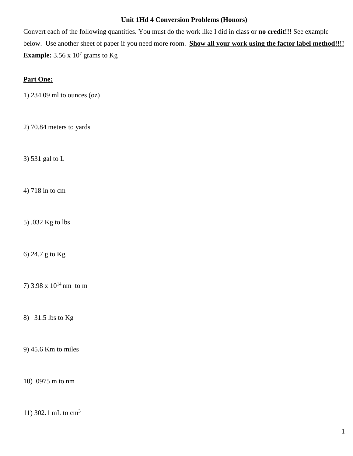## **Unit 1Hd 4 Conversion Problems (Honors)**

Convert each of the following quantities. You must do the work like I did in class or **no credit!!!** See example below. Use another sheet of paper if you need more room. **Show all your work using the factor label method!!!! Example:**  $3.56 \times 10^7$  grams to Kg

## **Part One:**

1) 234.09 ml to ounces (oz)

2) 70.84 meters to yards

3) 531 gal to L

4) 718 in to cm

5) .032 Kg to lbs

6) 24.7 g to Kg

7) 3.98 x  $10^{14}$  nm to m

8) 31.5 lbs to Kg

9) 45.6 Km to miles

10) .0975 m to nm

11) 302.1 mL to cm<sup>3</sup>